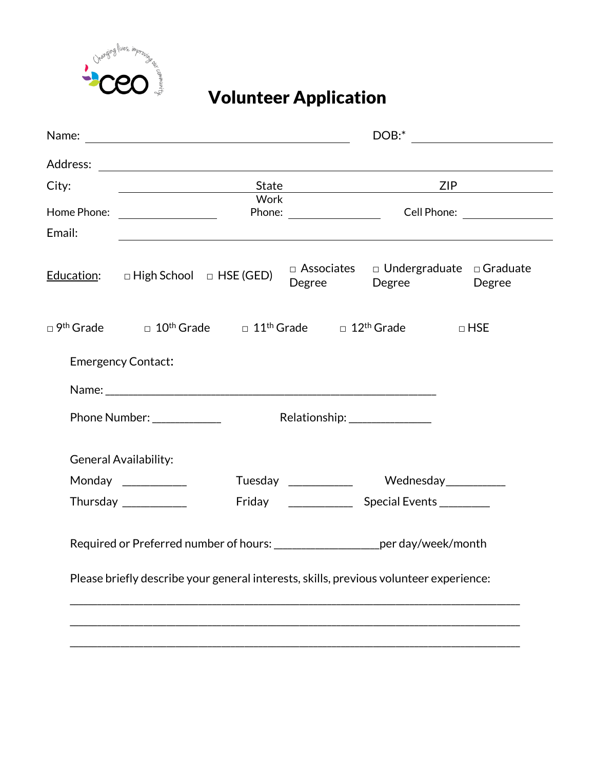

## Volunteer Application

|             |                                      |                                                                                                                        |                     |  | $DOB:$ $\qquad \qquad$       |  |                                                   |
|-------------|--------------------------------------|------------------------------------------------------------------------------------------------------------------------|---------------------|--|------------------------------|--|---------------------------------------------------|
|             |                                      |                                                                                                                        |                     |  |                              |  |                                                   |
| City:       |                                      |                                                                                                                        | State               |  | ZIP                          |  |                                                   |
| Home Phone: |                                      | Work                                                                                                                   |                     |  |                              |  |                                                   |
| Email:      |                                      | Phone: Cell Phone:                                                                                                     |                     |  |                              |  |                                                   |
|             | Education: D High School D HSE (GED) |                                                                                                                        |                     |  | Degree Degree                |  | □ Associates □ Undergraduate □ Graduate<br>Degree |
|             |                                      | $\Box$ 9 <sup>th</sup> Grade $\Box$ 10 <sup>th</sup> Grade $\Box$ 11 <sup>th</sup> Grade $\Box$ 12 <sup>th</sup> Grade |                     |  |                              |  | $\Box$ HSE                                        |
|             | <b>Emergency Contact:</b>            |                                                                                                                        |                     |  |                              |  |                                                   |
|             |                                      |                                                                                                                        |                     |  |                              |  |                                                   |
|             | Phone Number: _____________          |                                                                                                                        |                     |  | Relationship: ______________ |  |                                                   |
|             | General Availability:                |                                                                                                                        |                     |  |                              |  |                                                   |
|             | Monday ____________                  |                                                                                                                        | Tuesday ___________ |  | Wednesday___________         |  |                                                   |
|             | Thursday $\frac{1}{2}$               |                                                                                                                        |                     |  |                              |  |                                                   |
|             |                                      | Required or Preferred number of hours: _______________________per day/week/month                                       |                     |  |                              |  |                                                   |
|             |                                      | Please briefly describe your general interests, skills, previous volunteer experience:                                 |                     |  |                              |  |                                                   |
|             |                                      |                                                                                                                        |                     |  |                              |  |                                                   |
|             |                                      |                                                                                                                        |                     |  |                              |  |                                                   |
|             |                                      |                                                                                                                        |                     |  |                              |  |                                                   |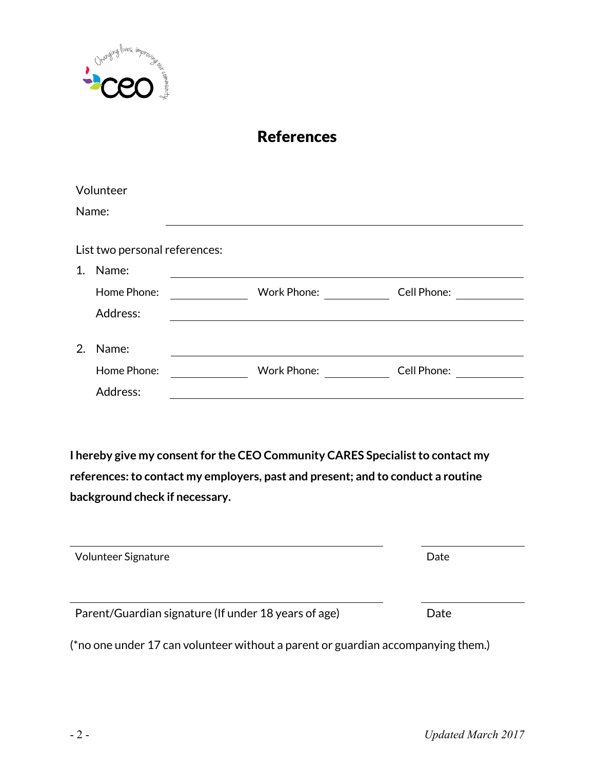

#### References

|    | Volunteer                     |             |             |
|----|-------------------------------|-------------|-------------|
|    | Name:                         |             |             |
|    | List two personal references: |             |             |
| 1. | Name:                         |             |             |
|    | Home Phone:                   | Work Phone: | Cell Phone: |
|    | Address:                      |             |             |
| 2. | Name:                         |             |             |
|    | Home Phone:                   | Work Phone: | Cell Phone: |
|    | Address:                      |             |             |

**I hereby give my consent for the CEO Community CARES Specialist to contact my references: to contact my employers, past and present; and to conduct a routine background check if necessary.**

| Volunteer Signature                                  | Date |
|------------------------------------------------------|------|
| Parent/Guardian signature (If under 18 years of age) | Date |

(\*no one under 17 can volunteer without a parent or guardian accompanying them.)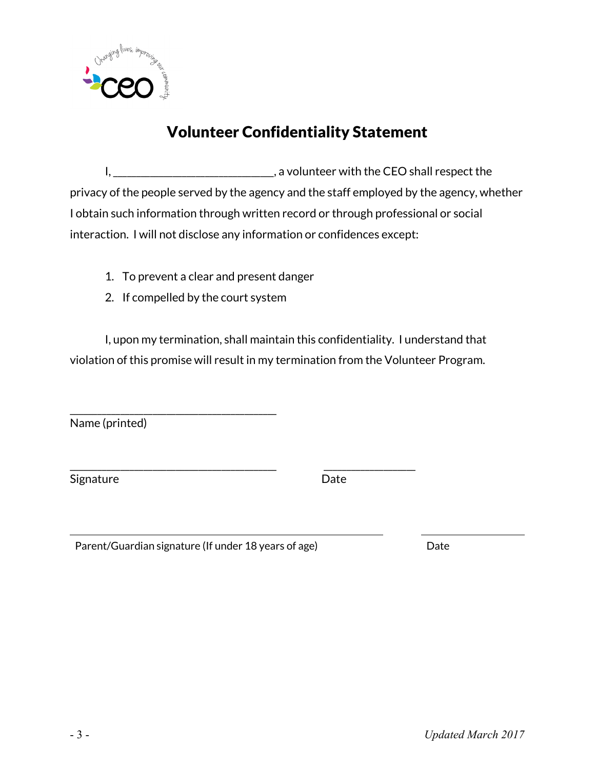

### Volunteer Confidentiality Statement

I,  $\frac{1}{2}$  a volunteer with the CEO shall respect the privacy of the people served by the agency and the staff employed by the agency, whether I obtain such information through written record or through professional or social interaction. I will not disclose any information or confidences except:

- 1. To prevent a clear and present danger
- 2. If compelled by the court system

\_\_\_\_\_\_\_\_\_\_\_\_\_\_\_\_\_\_\_\_\_\_\_\_\_\_\_\_\_\_\_\_\_\_\_\_\_\_\_\_\_\_\_\_\_

I, upon my termination, shall maintain this confidentiality. I understand that violation of this promise will result in my termination from the Volunteer Program.

\_\_\_\_\_\_\_\_\_\_\_\_\_\_\_\_\_\_\_\_\_\_\_\_\_\_\_\_\_\_\_\_\_\_\_\_\_\_\_\_\_\_\_\_\_ \_\_\_\_\_\_\_\_\_\_\_\_\_\_\_\_\_\_\_\_

Name (printed)

Signature Date

Parent/Guardian signature (If under 18 years of age) Date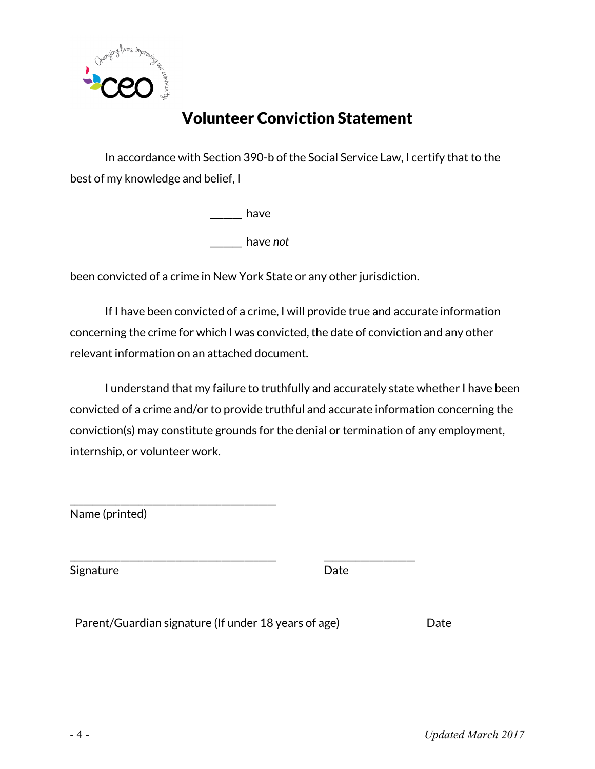

### Volunteer Conviction Statement

In accordance with Section 390-b of the Social Service Law, I certify that to the best of my knowledge and belief, I

> \_\_\_\_\_\_\_ have \_\_\_\_\_\_\_ have *not*

been convicted of a crime in New York State or any other jurisdiction.

If I have been convicted of a crime, I will provide true and accurate information concerning the crime for which I was convicted, the date of conviction and any other relevant information on an attached document.

I understand that my failure to truthfully and accurately state whether I have been convicted of a crime and/or to provide truthful and accurate information concerning the conviction(s) may constitute grounds for the denial or termination of any employment, internship, or volunteer work.

Name (printed)

\_\_\_\_\_\_\_\_\_\_\_\_\_\_\_\_\_\_\_\_\_\_\_\_\_\_\_\_\_\_\_\_\_\_\_\_\_\_\_\_\_\_\_\_\_ \_\_\_\_\_\_\_\_\_\_\_\_\_\_\_\_\_\_\_\_ Signature Date

Parent/Guardian signature (If under 18 years of age) Date

\_\_\_\_\_\_\_\_\_\_\_\_\_\_\_\_\_\_\_\_\_\_\_\_\_\_\_\_\_\_\_\_\_\_\_\_\_\_\_\_\_\_\_\_\_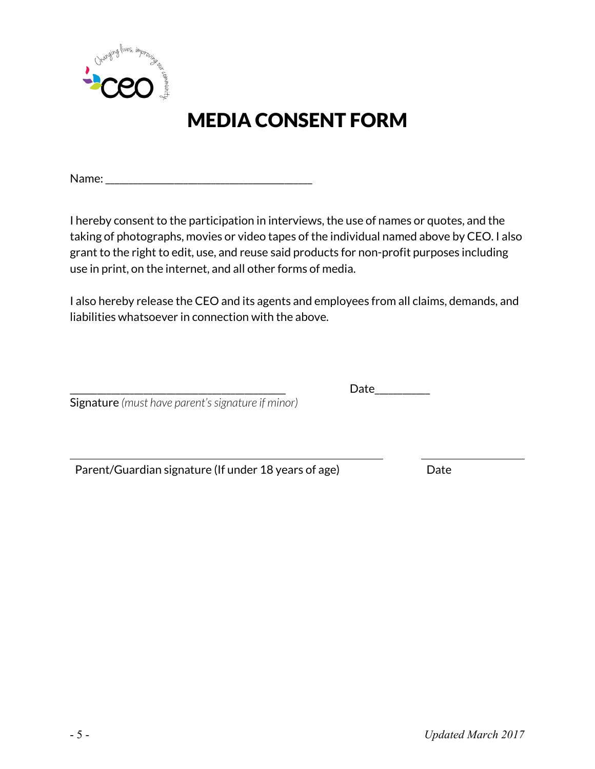

# MEDIA CONSENT FORM

Name:  $\blacksquare$ 

I hereby consent to the participation in interviews, the use of names or quotes, and the taking of photographs, movies or video tapes of the individual named above by CEO. I also grant to the right to edit, use, and reuse said products for non-profit purposes including use in print, on the internet, and all other forms of media.

I also hereby release the CEO and its agents and employees from all claims, demands, and liabilities whatsoever in connection with the above.

\_\_\_\_\_\_\_\_\_\_\_\_\_\_\_\_\_\_\_\_\_\_\_\_\_\_\_\_\_\_\_\_\_\_\_\_\_\_\_\_\_\_\_\_\_\_\_ Date\_\_\_\_\_\_\_\_\_\_\_\_ Signature *(must have parent's signature if minor)* 

Parent/Guardian signature (If under 18 years of age) Date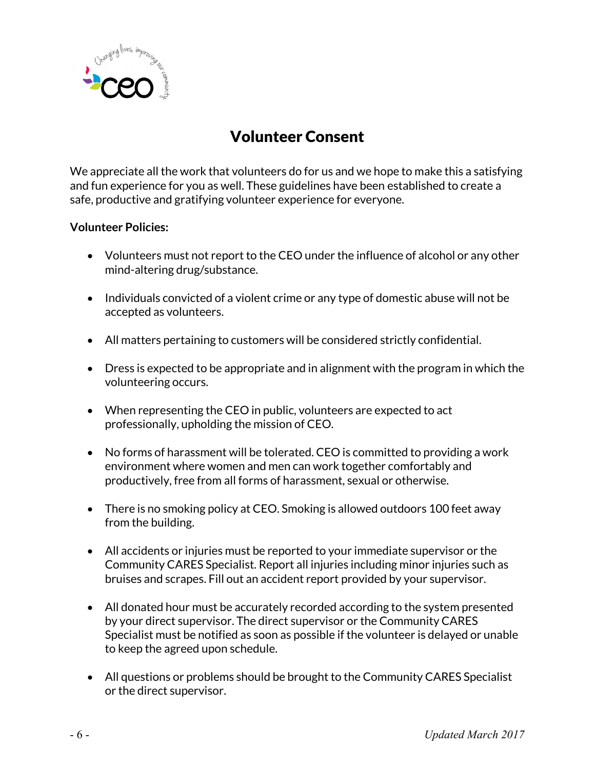

### Volunteer Consent

We appreciate all the work that volunteers do for us and we hope to make this a satisfying and fun experience for you as well. These guidelines have been established to create a safe, productive and gratifying volunteer experience for everyone.

#### **Volunteer Policies:**

- Volunteers must not report to the CEO under the influence of alcohol or any other mind-altering drug/substance.
- Individuals convicted of a violent crime or any type of domestic abuse will not be accepted as volunteers.
- All matters pertaining to customers will be considered strictly confidential.
- Dress is expected to be appropriate and in alignment with the program in which the volunteering occurs.
- When representing the CEO in public, volunteers are expected to act professionally, upholding the mission of CEO.
- No forms of harassment will be tolerated. CEO is committed to providing a work environment where women and men can work together comfortably and productively, free from all forms of harassment, sexual or otherwise.
- There is no smoking policy at CEO. Smoking is allowed outdoors 100 feet away from the building.
- All accidents or injuries must be reported to your immediate supervisor or the Community CARES Specialist. Report all injuries including minor injuries such as bruises and scrapes. Fill out an accident report provided by your supervisor.
- All donated hour must be accurately recorded according to the system presented by your direct supervisor. The direct supervisor or the Community CARES Specialist must be notified as soon as possible if the volunteer is delayed or unable to keep the agreed upon schedule.
- All questions or problems should be brought to the Community CARES Specialist or the direct supervisor.